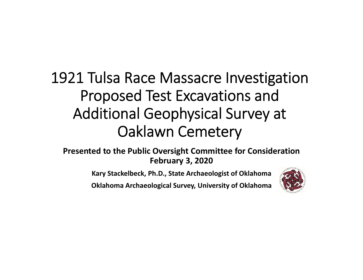# 1921 Tulsa Race Massacre Investigation Proposed Test Excavations and Additional Geophysical Survey at Oaklawn Cemetery

**Presented to the Public Oversight Committee for Consideration February 3, 2020**

**Kary Stackelbeck, Ph.D., State Archaeologist of Oklahoma**

**Oklahoma Archaeological Survey, University of Oklahoma**

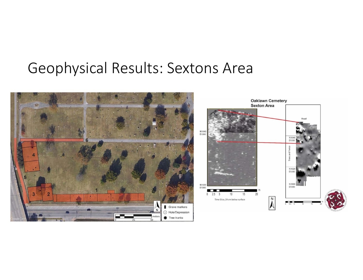#### Geophysical Results: Sextons Area

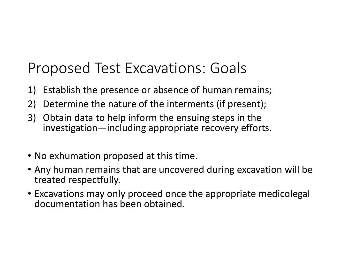#### Proposed Test Excavations: Goals

- 1) Establish the presence or absence of human remains;
- 2) Determine the nature of the interments (if present);
- 3) Obtain data to help inform the ensuing steps in the investigation—including appropriate recovery efforts.
- No exhumation proposed at this time.
- Any human remains that are uncovered during excavation will be treated respectfully.
- Excavations may only proceed once the appropriate medicolegal documentation has been obtained.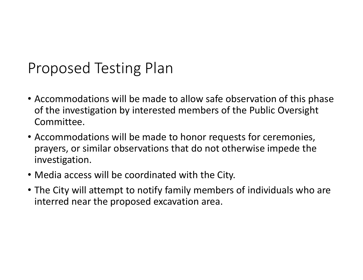#### Proposed Testing Plan

- Accommodations will be made to allow safe observation of this phase of the investigation by interested members of the Public Oversight Committee.
- Accommodations will be made to honor requests for ceremonies, prayers, or similar observations that do not otherwise impede the investigation.
- Media access will be coordinated with the City.
- The City will attempt to notify family members of individuals who are interred near the proposed excavation area.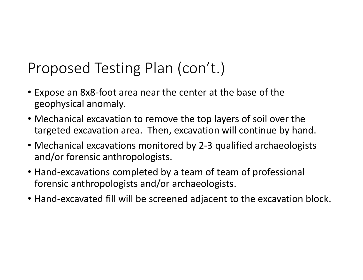- Expose an 8x8‐foot area near the center at the base of the geophysical anomaly.
- Mechanical excavation to remove the top layers of soil over the targeted excavation area. Then, excavation will continue by hand.
- Mechanical excavations monitored by 2-3 qualified archaeologists and/or forensic anthropologists.
- Hand-excavations completed by a team of team of professional forensic anthropologists and/or archaeologists.
- Hand‐excavated fill will be screened adjacent to the excavation block.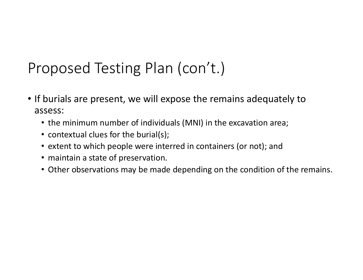- If burials are present, we will expose the remains adequately to assess:
	- the minimum number of individuals (MNI) in the excavation area;
	- contextual clues for the burial(s);
	- extent to which people were interred in containers (or not); an d
	- maintain a state of preservation.
	- Other observations may be made depending on the condition of the remains.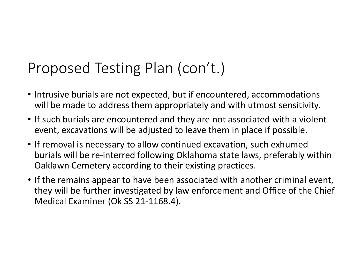- Intrusive burials are not expected, but if encountered, accommodations will be made to address them appropriately and with utmost sensitivity.
- If such burials are encountered and they are not associated with a violent event, excavations will be adjusted to leave them in place if possible.
- If removal is necessary to allow continued excavation, such exhumed burials will be re‐interred following Oklahoma state laws, preferably within Oaklawn Cemetery according to their existing practices.
- If the remains appear to have been associated with another criminal event, they will be further investigated by law enforcement and Office of the Chief Medical Examiner (Ok SS 21‐1168.4).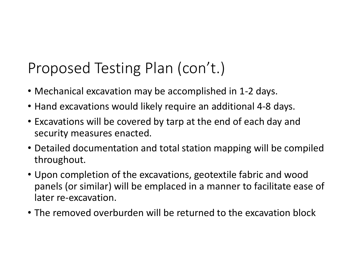- Mechanical excavation may be accomplished in 1‐2 days.
- Hand excavations would likely require an additional 4‐8 days.
- Excavations will be covered by tarp at the end of each day and security measures enacted.
- Detailed documentation and total station mapping will be compiled throughout.
- Upon completion of the excavations, geotextile fabric and wood panels (or similar) will be emplaced in a manner to facilitate ease of later re‐excavation.
- The removed overburden will be returned to the excavation block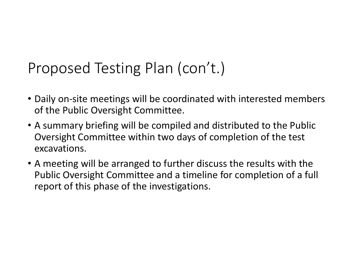- Daily on‐site meetings will be coordinated with interested members of the Public Oversight Committee.
- A summary briefing will be compiled and distributed to the Public Oversight Committee within two days of completion of the test excavations.
- A meeting will be arranged to further discuss the results with the Public Oversight Committee and a timeline for completion of a full report of this phase of the investigations.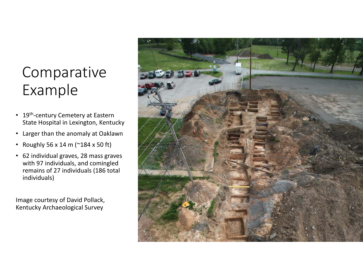# Comparative Example

- 19<sup>th</sup>-century Cemetery at Eastern State Hospital in Lexington, Kentucky
- Larger than the anomaly at Oaklawn
- Roughly 56 x 14 m (~184 x 50 ft)
- 62 individual graves, 28 mass graves with 97 individuals, and comingled remains of 27 individuals (186 total individuals)

Image courtesy of David Pollack, Kentucky Archaeological Survey

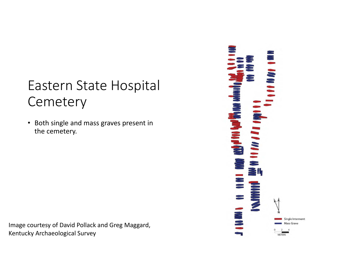#### Eastern State Hospital **Cemetery**

• Both single and mass graves present in the cemetery.

Image courtesy of David Pollack and Greg Maggard, Kentucky Archaeological Survey

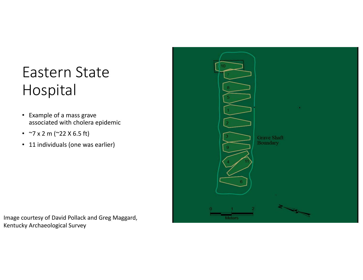# Eastern State Hospital

- Example of a mass grave associated with cholera epidemic
- ~7 x 2 m (~22 X 6.5 ft)
- 11 individuals (one was earlier)



Image courtesy of David Pollack and Greg Maggard, Kentucky Archaeological Survey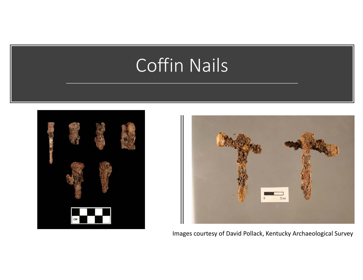# Coffin Nails





Images courtesy of David Pollack, Kentucky Archaeological Surve y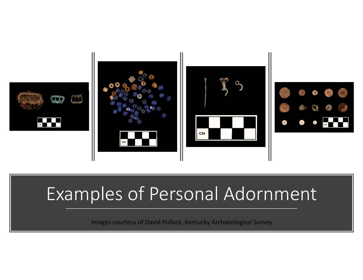





# Examples of Personal Adornment

Images courtesy of David Pollack, Kentucky Archaeological Surve y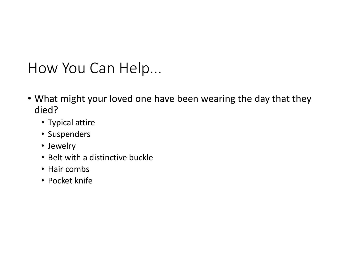#### How You Can Help...

- What might your loved one have been wearing the day that they died?
	- Typical attire
	- Suspenders
	- Jewelry
	- Belt with a distinctive buckle
	- Hair combs
	- Pocket knife